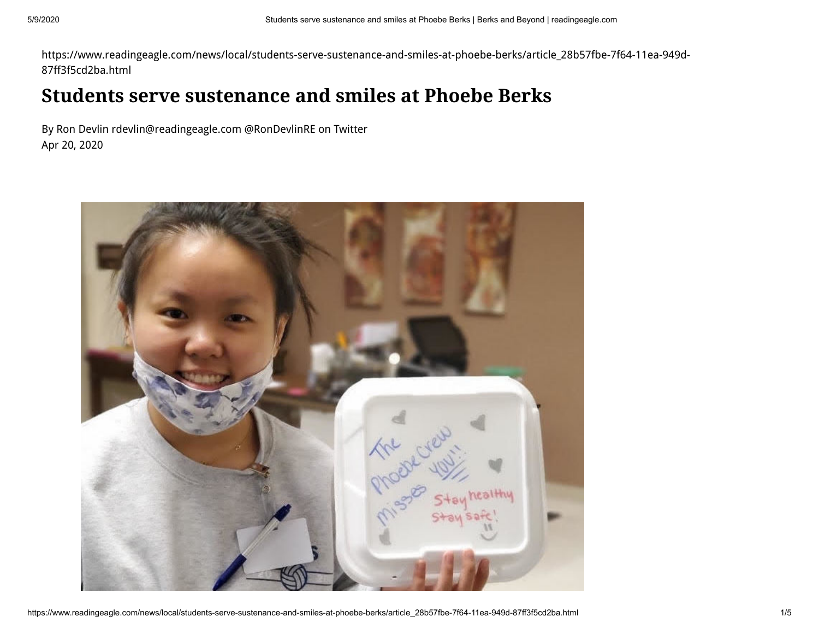https://www.readingeagle.com/news/local/students-serve-sustenance-and-smiles-at-phoebe-berks/article\_28b57fbe-7f64-11ea-949d-87ff3f5cd2ba.html

## **Students serve sustenance and smiles at Phoebe Berks**

[By Ron Devlin rdevlin@readingeagle.com @RonDevlinRE on Twitter](https://www.readingeagle.com/users/profile/Ron%20Devlin) Apr 20, 2020

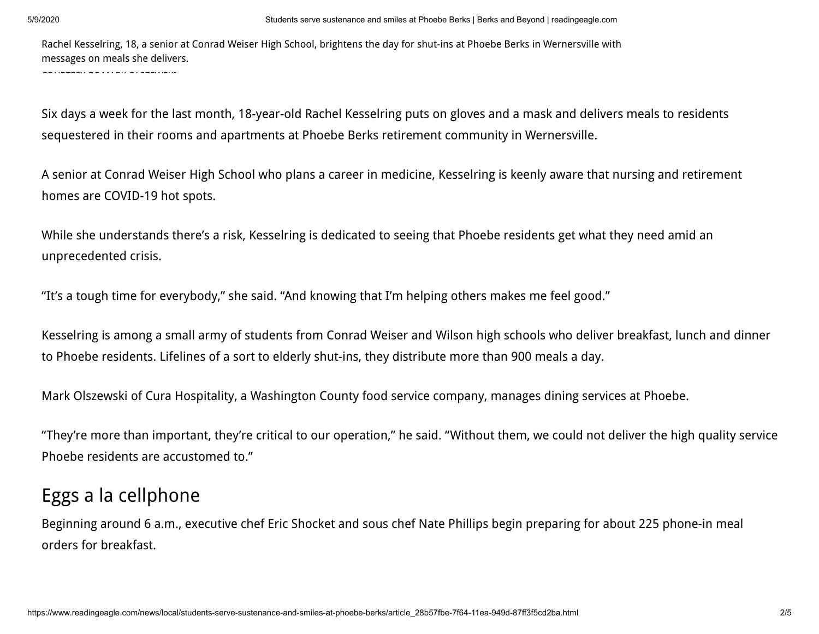Rachel Kesselring, 18, a senior at Conrad Weiser High School, brightens the day for shut-ins at Phoebe Berks in Wernersville with messages on meals she delivers.

COURTESY OF MARK OLSEWIND

Six days a week for the last month, 18-year-old Rachel Kesselring puts on gloves and a mask and delivers meals to residents sequestered in their rooms and apartments at Phoebe Berks retirement community in Wernersville.

A senior at Conrad Weiser High School who plans a career in medicine, Kesselring is keenly aware that nursing and retirement homes are COVID-19 hot spots.

While she understands there's a risk, Kesselring is dedicated to seeing that Phoebe residents get what they need amid an unprecedented crisis.

"It's a tough time for everybody," she said. "And knowing that I'm helping others makes me feel good."

Kesselring is among a small army of students from Conrad Weiser and Wilson high schools who deliver breakfast, lunch and dinner to Phoebe residents. Lifelines of a sort to elderly shut-ins, they distribute more than 900 meals a day.

Mark Olszewski of Cura Hospitality, a Washington County food service company, manages dining services at Phoebe.

"They're more than important, they're critical to our operation," he said. "Without them, we could not deliver the high quality service Phoebe residents are accustomed to."

## Eggs a la cellphone

Beginning around 6 a.m., executive chef Eric Shocket and sous chef Nate Phillips begin preparing for about 225 phone-in meal orders for breakfast.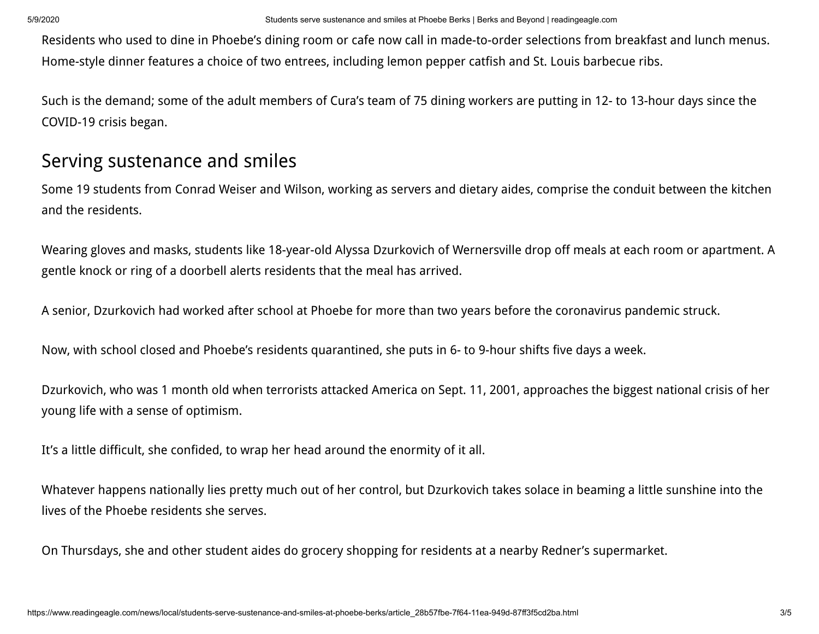Residents who used to dine in Phoebe's dining room or cafe now call in made-to-order selections from breakfast and lunch menus. Home-style dinner features a choice of two entrees, including lemon pepper catfish and St. Louis barbecue ribs.

Such is the demand; some of the adult members of Cura's team of 75 dining workers are putting in 12- to 13-hour days since the COVID-19 crisis began.

## Serving sustenance and smiles

Some 19 students from Conrad Weiser and Wilson, working as servers and dietary aides, comprise the conduit between the kitchen and the residents.

Wearing gloves and masks, students like 18-year-old Alyssa Dzurkovich of Wernersville drop off meals at each room or apartment. A gentle knock or ring of a doorbell alerts residents that the meal has arrived.

A senior, Dzurkovich had worked after school at Phoebe for more than two years before the coronavirus pandemic struck.

Now, with school closed and Phoebe's residents quarantined, she puts in 6- to 9-hour shifts five days a week.

Dzurkovich, who was 1 month old when terrorists attacked America on Sept. 11, 2001, approaches the biggest national crisis of her young life with a sense of optimism.

It's a little difficult, she confided, to wrap her head around the enormity of it all.

Whatever happens nationally lies pretty much out of her control, but Dzurkovich takes solace in beaming a little sunshine into the lives of the Phoebe residents she serves.

On Thursdays, she and other student aides do grocery shopping for residents at a nearby Redner's supermarket.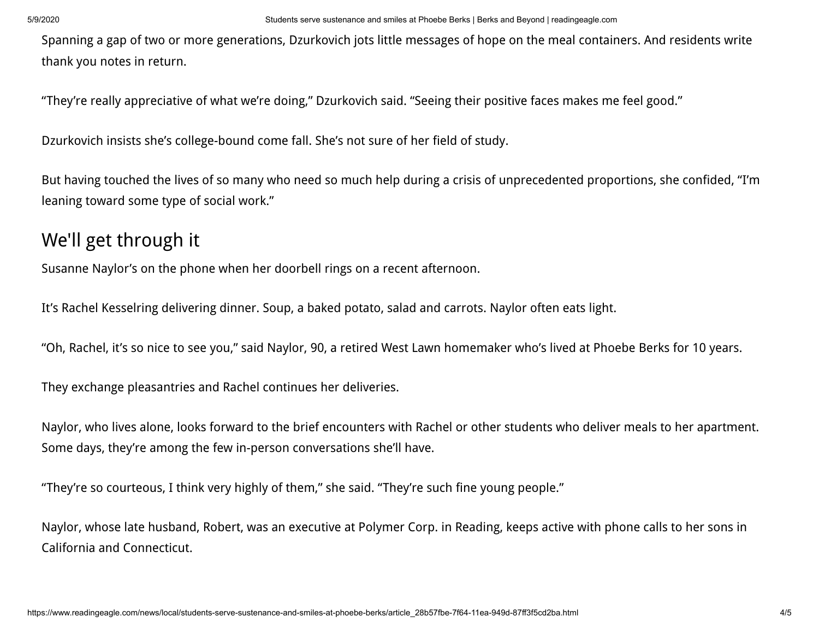Spanning a gap of two or more generations, Dzurkovich jots little messages of hope on the meal containers. And residents write thank you notes in return.

"They're really appreciative of what we're doing," Dzurkovich said. "Seeing their positive faces makes me feel good."

Dzurkovich insists she's college-bound come fall. She's not sure of her field of study.

But having touched the lives of so many who need so much help during a crisis of unprecedented proportions, she confided, "I'm leaning toward some type of social work."

## We'll get through it

Susanne Naylor's on the phone when her doorbell rings on a recent afternoon.

It's Rachel Kesselring delivering dinner. Soup, a baked potato, salad and carrots. Naylor often eats light.

"Oh, Rachel, it's so nice to see you," said Naylor, 90, a retired West Lawn homemaker who's lived at Phoebe Berks for 10 years.

They exchange pleasantries and Rachel continues her deliveries.

Naylor, who lives alone, looks forward to the brief encounters with Rachel or other students who deliver meals to her apartment. Some days, they're among the few in-person conversations she'll have.

"They're so courteous, I think very highly of them," she said. "They're such fine young people."

Naylor, whose late husband, Robert, was an executive at Polymer Corp. in Reading, keeps active with phone calls to her sons in California and Connecticut.